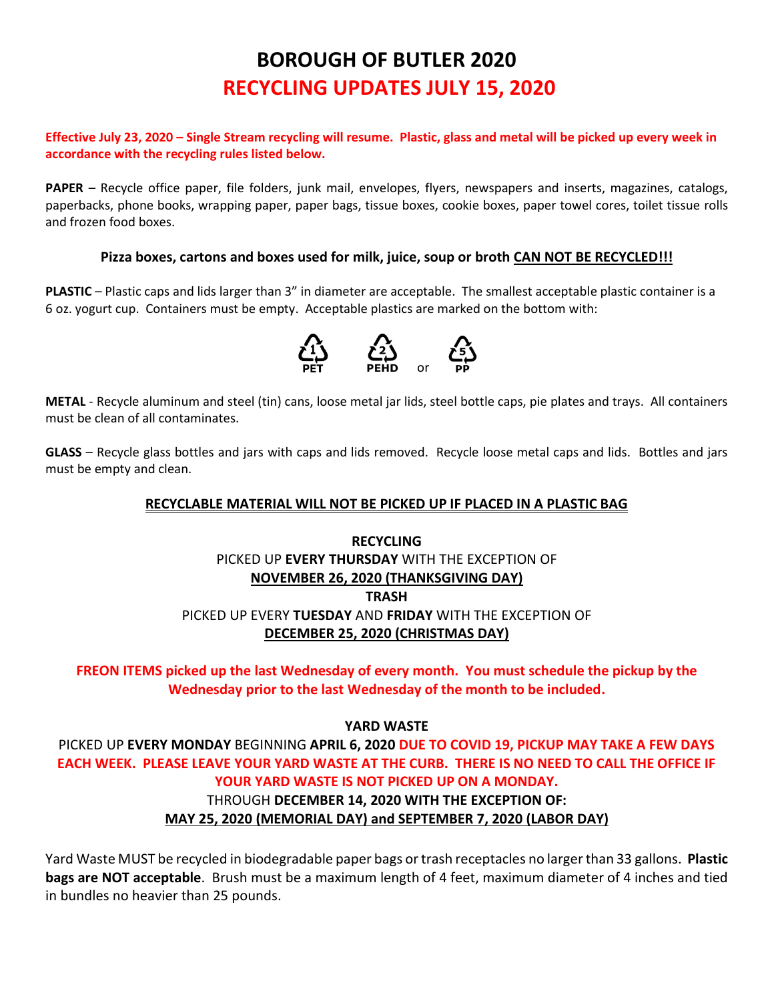# **BOROUGH OF BUTLER 2020 RECYCLING UPDATES JULY 15, 2020**

#### **Effective July 23, 2020 – Single Stream recycling will resume. Plastic, glass and metal will be picked up every week in accordance with the recycling rules listed below.**

**PAPER** – Recycle office paper, file folders, junk mail, envelopes, flyers, newspapers and inserts, magazines, catalogs, paperbacks, phone books, wrapping paper, paper bags, tissue boxes, cookie boxes, paper towel cores, toilet tissue rolls and frozen food boxes.

#### **Pizza boxes, cartons and boxes used for milk, juice, soup or broth CAN NOT BE RECYCLED!!!**

**PLASTIC** – Plastic caps and lids larger than 3" in diameter are acceptable. The smallest acceptable plastic container is a 6 oz. yogurt cup. Containers must be empty. Acceptable plastics are marked on the bottom with:



**METAL** - Recycle aluminum and steel (tin) cans, loose metal jar lids, steel bottle caps, pie plates and trays. All containers must be clean of all contaminates.

**GLASS** – Recycle glass bottles and jars with caps and lids removed. Recycle loose metal caps and lids. Bottles and jars must be empty and clean.

#### **RECYCLABLE MATERIAL WILL NOT BE PICKED UP IF PLACED IN A PLASTIC BAG**

# **RECYCLING** PICKED UP **EVERY THURSDAY** WITH THE EXCEPTION OF **NOVEMBER 26, 2020 (THANKSGIVING DAY) TRASH** PICKED UP EVERY **TUESDAY** AND **FRIDAY** WITH THE EXCEPTION OF **DECEMBER 25, 2020 (CHRISTMAS DAY)**

**FREON ITEMS picked up the last Wednesday of every month. You must schedule the pickup by the Wednesday prior to the last Wednesday of the month to be included.**

**YARD WASTE**

PICKED UP **EVERY MONDAY** BEGINNING **APRIL 6, 2020 DUE TO COVID 19, PICKUP MAY TAKE A FEW DAYS EACH WEEK. PLEASE LEAVE YOUR YARD WASTE AT THE CURB. THERE IS NO NEED TO CALL THE OFFICE IF YOUR YARD WASTE IS NOT PICKED UP ON A MONDAY.**

#### THROUGH **DECEMBER 14, 2020 WITH THE EXCEPTION OF:**

#### **MAY 25, 2020 (MEMORIAL DAY) and SEPTEMBER 7, 2020 (LABOR DAY)**

Yard Waste MUST be recycled in biodegradable paper bags or trash receptacles no larger than 33 gallons. **Plastic bags are NOT acceptable**. Brush must be a maximum length of 4 feet, maximum diameter of 4 inches and tied in bundles no heavier than 25 pounds.